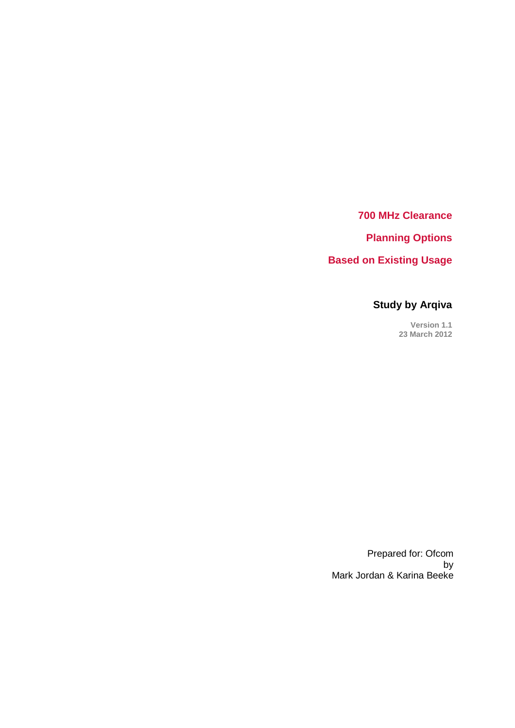**700 MHz Clearance**

**Planning Options**

**Based on Existing Usage**

## **Study by Arqiva**

**Version 1.1 23 March 2012**

Prepared for: Ofcom by Mark Jordan & Karina Beeke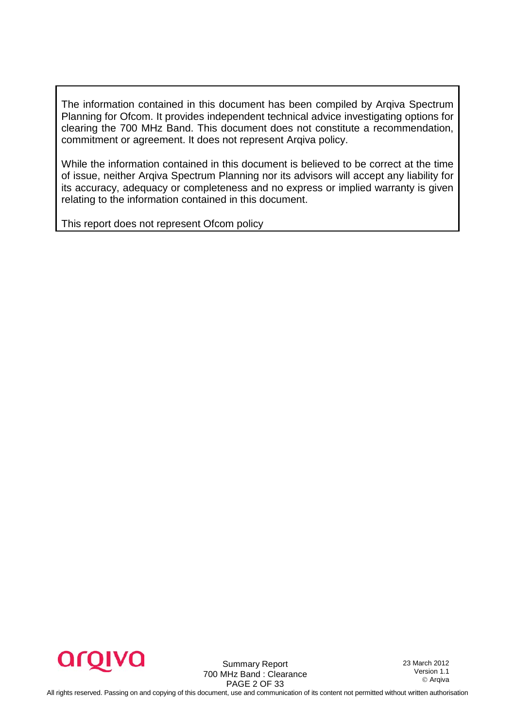The information contained in this document has been compiled by Arqiva Spectrum Planning for Ofcom. It provides independent technical advice investigating options for clearing the 700 MHz Band. This document does not constitute a recommendation, commitment or agreement. It does not represent Arqiva policy.

While the information contained in this document is believed to be correct at the time of issue, neither Arqiva Spectrum Planning nor its advisors will accept any liability for its accuracy, adequacy or completeness and no express or implied warranty is given relating to the information contained in this document.

This report does not represent Ofcom policy



Summary Report 700 MHz Band : Clearance PAGE 2 OF 33

23 March 2012 Version 1.1 Arqiva

All rights reserved. Passing on and copying of this document, use and communication of its content not permitted without written authorisation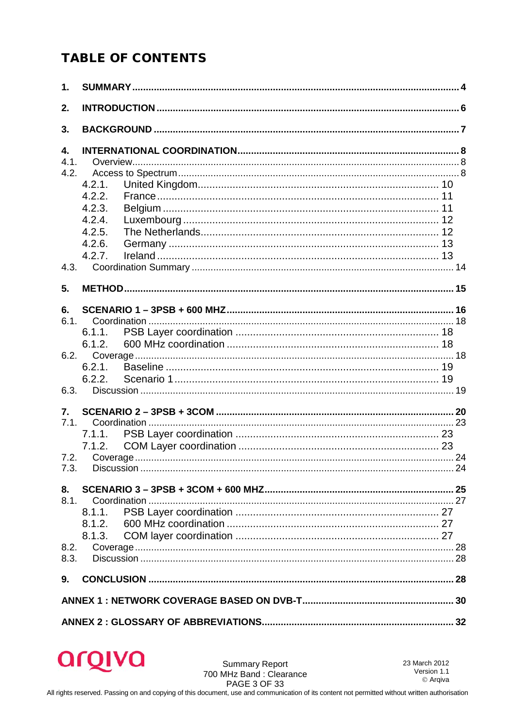## **TABLE OF CONTENTS**

| $\mathbf{1}$ .                           |                                                                    |  |
|------------------------------------------|--------------------------------------------------------------------|--|
| 2.                                       |                                                                    |  |
| 3.                                       |                                                                    |  |
| $\overline{4}$ .<br>4.1.<br>4.2.         | 4.2.1.<br>4.2.2.<br>4.2.3.<br>4.2.4.<br>4.2.5.<br>4.2.6.<br>4.2.7. |  |
| 5.                                       |                                                                    |  |
| 6.<br>6.1.<br>6.3.<br>7.<br>7.1.<br>7.3. | 6.1.1.<br>6.1.2.<br>6.2.2.<br>7.1.2.                               |  |
| 8.<br>8.1.<br>8.2.<br>8.3.               | 8.1.3.                                                             |  |
| 9.                                       |                                                                    |  |
|                                          |                                                                    |  |
|                                          |                                                                    |  |



23 March 2012 Version 1.1 © Arqiva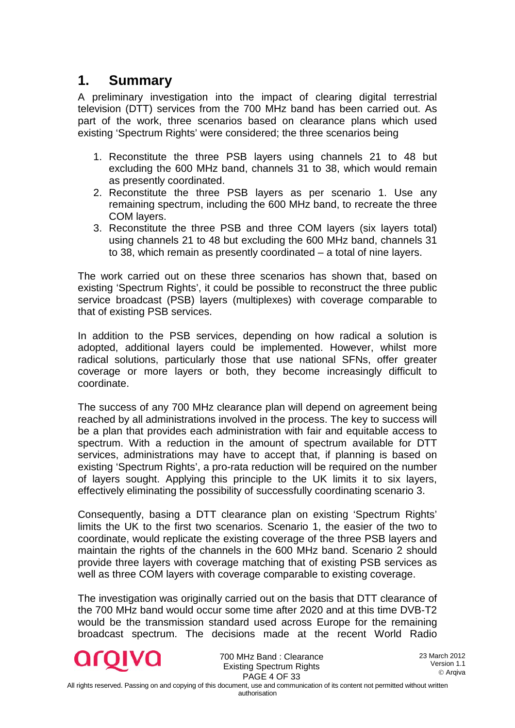## <span id="page-3-0"></span>**1. Summary**

A preliminary investigation into the impact of clearing digital terrestrial television (DTT) services from the 700 MHz band has been carried out. As part of the work, three scenarios based on clearance plans which used existing 'Spectrum Rights' were considered; the three scenarios being

- 1. Reconstitute the three PSB layers using channels 21 to 48 but excluding the 600 MHz band, channels 31 to 38, which would remain as presently coordinated.
- 2. Reconstitute the three PSB layers as per scenario 1. Use any remaining spectrum, including the 600 MHz band, to recreate the three COM layers.
- 3. Reconstitute the three PSB and three COM layers (six layers total) using channels 21 to 48 but excluding the 600 MHz band, channels 31 to 38, which remain as presently coordinated – a total of nine layers.

The work carried out on these three scenarios has shown that, based on existing 'Spectrum Rights', it could be possible to reconstruct the three public service broadcast (PSB) layers (multiplexes) with coverage comparable to that of existing PSB services.

In addition to the PSB services, depending on how radical a solution is adopted, additional layers could be implemented. However, whilst more radical solutions, particularly those that use national SFNs, offer greater coverage or more layers or both, they become increasingly difficult to coordinate.

The success of any 700 MHz clearance plan will depend on agreement being reached by all administrations involved in the process. The key to success will be a plan that provides each administration with fair and equitable access to spectrum. With a reduction in the amount of spectrum available for DTT services, administrations may have to accept that, if planning is based on existing 'Spectrum Rights', a pro-rata reduction will be required on the number of layers sought. Applying this principle to the UK limits it to six layers, effectively eliminating the possibility of successfully coordinating scenario 3.

Consequently, basing a DTT clearance plan on existing 'Spectrum Rights' limits the UK to the first two scenarios. Scenario 1, the easier of the two to coordinate, would replicate the existing coverage of the three PSB layers and maintain the rights of the channels in the 600 MHz band. Scenario 2 should provide three layers with coverage matching that of existing PSB services as well as three COM layers with coverage comparable to existing coverage.

The investigation was originally carried out on the basis that DTT clearance of the 700 MHz band would occur some time after 2020 and at this time DVB-T2 would be the transmission standard used across Europe for the remaining broadcast spectrum. The decisions made at the recent World Radio



700 MHz Band : Clearance Existing Spectrum Rights PAGE 4 OF 33

23 March 2012 Version 1.1 Arqiva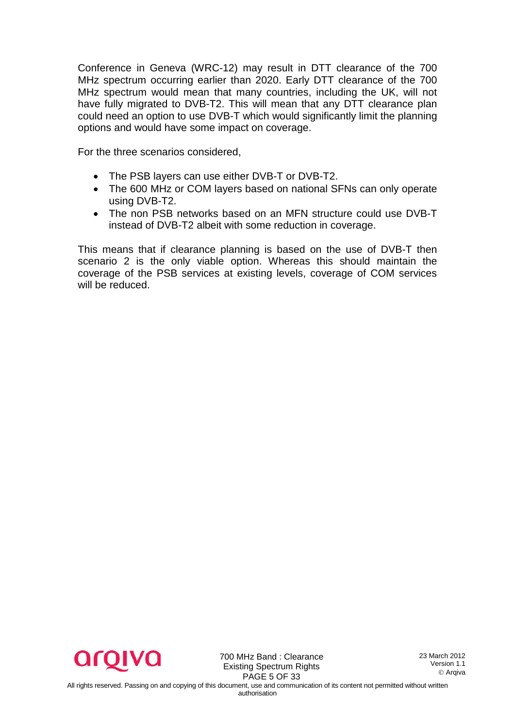Conference in Geneva (WRC-12) may result in DTT clearance of the 700 MHz spectrum occurring earlier than 2020. Early DTT clearance of the 700 MHz spectrum would mean that many countries, including the UK, will not have fully migrated to DVB-T2. This will mean that any DTT clearance plan could need an option to use DVB-T which would significantly limit the planning options and would have some impact on coverage.

For the three scenarios considered,

- The PSB layers can use either DVB-T or DVB-T2.
- The 600 MHz or COM layers based on national SFNs can only operate using DVB-T2.
- The non PSB networks based on an MFN structure could use DVB-T instead of DVB-T2 albeit with some reduction in coverage.

This means that if clearance planning is based on the use of DVB-T then scenario 2 is the only viable option. Whereas this should maintain the coverage of the PSB services at existing levels, coverage of COM services will be reduced.



700 MHz Band : Clearance Existing Spectrum Rights PAGE 5 OF 33

23 March 2012 Version 1.1 Arqiva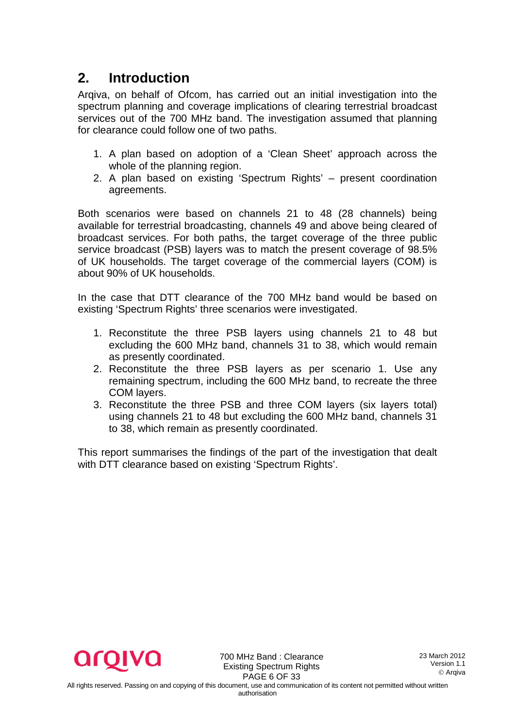## <span id="page-5-0"></span>**2. Introduction**

Arqiva, on behalf of Ofcom, has carried out an initial investigation into the spectrum planning and coverage implications of clearing terrestrial broadcast services out of the 700 MHz band. The investigation assumed that planning for clearance could follow one of two paths.

- 1. A plan based on adoption of a 'Clean Sheet' approach across the whole of the planning region.
- 2. A plan based on existing 'Spectrum Rights' present coordination agreements.

Both scenarios were based on channels 21 to 48 (28 channels) being available for terrestrial broadcasting, channels 49 and above being cleared of broadcast services. For both paths, the target coverage of the three public service broadcast (PSB) layers was to match the present coverage of 98.5% of UK households. The target coverage of the commercial layers (COM) is about 90% of UK households.

In the case that DTT clearance of the 700 MHz band would be based on existing 'Spectrum Rights' three scenarios were investigated.

- 1. Reconstitute the three PSB layers using channels 21 to 48 but excluding the 600 MHz band, channels 31 to 38, which would remain as presently coordinated.
- 2. Reconstitute the three PSB layers as per scenario 1. Use any remaining spectrum, including the 600 MHz band, to recreate the three COM layers.
- 3. Reconstitute the three PSB and three COM layers (six layers total) using channels 21 to 48 but excluding the 600 MHz band, channels 31 to 38, which remain as presently coordinated.

This report summarises the findings of the part of the investigation that dealt with DTT clearance based on existing 'Spectrum Rights'.



700 MHz Band : Clearance Existing Spectrum Rights PAGE 6 OF 33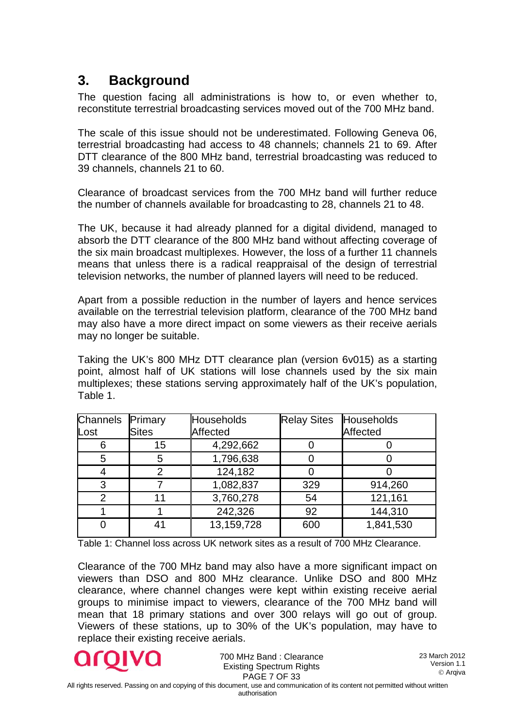## <span id="page-6-0"></span>**3. Background**

The question facing all administrations is how to, or even whether to, reconstitute terrestrial broadcasting services moved out of the 700 MHz band.

The scale of this issue should not be underestimated. Following Geneva 06, terrestrial broadcasting had access to 48 channels; channels 21 to 69. After DTT clearance of the 800 MHz band, terrestrial broadcasting was reduced to 39 channels, channels 21 to 60.

Clearance of broadcast services from the 700 MHz band will further reduce the number of channels available for broadcasting to 28, channels 21 to 48.

The UK, because it had already planned for a digital dividend, managed to absorb the DTT clearance of the 800 MHz band without affecting coverage of the six main broadcast multiplexes. However, the loss of a further 11 channels means that unless there is a radical reappraisal of the design of terrestrial television networks, the number of planned layers will need to be reduced.

Apart from a possible reduction in the number of layers and hence services available on the terrestrial television platform, clearance of the 700 MHz band may also have a more direct impact on some viewers as their receive aerials may no longer be suitable.

Taking the UK's 800 MHz DTT clearance plan (version 6v015) as a starting point, almost half of UK stations will lose channels used by the six main multiplexes; these stations serving approximately half of the UK's population, Table 1.

| Channels<br>Primary |              | <b>Households</b> | <b>Relay Sites</b> | Households |  |  |
|---------------------|--------------|-------------------|--------------------|------------|--|--|
| Lost                | <b>Sites</b> | Affected          |                    | Affected   |  |  |
|                     | 15           | 4,292,662         |                    |            |  |  |
| 5                   | 5            | 1,796,638         |                    |            |  |  |
|                     |              | 124,182           |                    |            |  |  |
| З                   |              | 1,082,837         | 329                | 914,260    |  |  |
|                     |              | 3,760,278         | 54                 | 121,161    |  |  |
|                     |              | 242,326           | 92                 | 144,310    |  |  |
|                     |              | 13,159,728        | 600                | 1,841,530  |  |  |

Table 1: Channel loss across UK network sites as a result of 700 MHz Clearance.

Clearance of the 700 MHz band may also have a more significant impact on viewers than DSO and 800 MHz clearance. Unlike DSO and 800 MHz clearance, where channel changes were kept within existing receive aerial groups to minimise impact to viewers, clearance of the 700 MHz band will mean that 18 primary stations and over 300 relays will go out of group. Viewers of these stations, up to 30% of the UK's population, may have to replace their existing receive aerials.



700 MHz Band : Clearance Existing Spectrum Rights PAGE 7 OF 33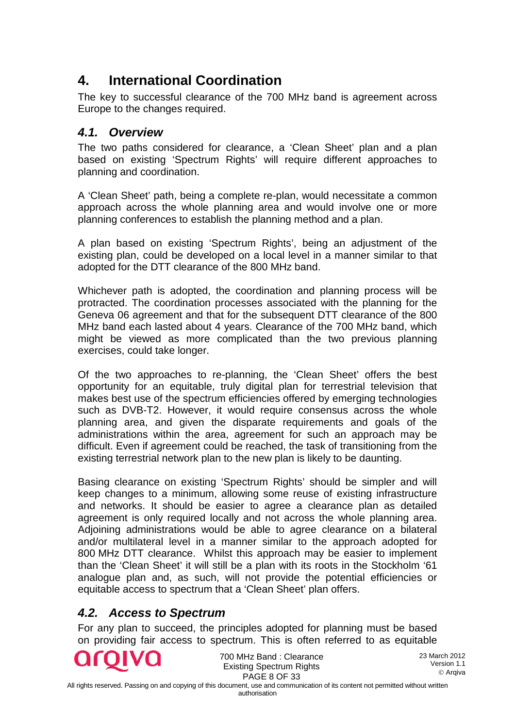## <span id="page-7-0"></span>**4. International Coordination**

The key to successful clearance of the 700 MHz band is agreement across Europe to the changes required.

#### <span id="page-7-1"></span>*4.1. Overview*

The two paths considered for clearance, a 'Clean Sheet' plan and a plan based on existing 'Spectrum Rights' will require different approaches to planning and coordination.

A 'Clean Sheet' path, being a complete re-plan, would necessitate a common approach across the whole planning area and would involve one or more planning conferences to establish the planning method and a plan.

A plan based on existing 'Spectrum Rights', being an adjustment of the existing plan, could be developed on a local level in a manner similar to that adopted for the DTT clearance of the 800 MHz band.

Whichever path is adopted, the coordination and planning process will be protracted. The coordination processes associated with the planning for the Geneva 06 agreement and that for the subsequent DTT clearance of the 800 MHz band each lasted about 4 years. Clearance of the 700 MHz band, which might be viewed as more complicated than the two previous planning exercises, could take longer.

Of the two approaches to re-planning, the 'Clean Sheet' offers the best opportunity for an equitable, truly digital plan for terrestrial television that makes best use of the spectrum efficiencies offered by emerging technologies such as DVB-T2. However, it would require consensus across the whole planning area, and given the disparate requirements and goals of the administrations within the area, agreement for such an approach may be difficult. Even if agreement could be reached, the task of transitioning from the existing terrestrial network plan to the new plan is likely to be daunting.

Basing clearance on existing 'Spectrum Rights' should be simpler and will keep changes to a minimum, allowing some reuse of existing infrastructure and networks. It should be easier to agree a clearance plan as detailed agreement is only required locally and not across the whole planning area. Adjoining administrations would be able to agree clearance on a bilateral and/or multilateral level in a manner similar to the approach adopted for 800 MHz DTT clearance. Whilst this approach may be easier to implement than the 'Clean Sheet' it will still be a plan with its roots in the Stockholm '61 analogue plan and, as such, will not provide the potential efficiencies or equitable access to spectrum that a 'Clean Sheet' plan offers.

### <span id="page-7-2"></span>*4.2. Access to Spectrum*

For any plan to succeed, the principles adopted for planning must be based on providing fair access to spectrum. This is often referred to as equitable



700 MHz Band : Clearance Existing Spectrum Rights PAGE 8 OF 33

23 March 2012 Version 1.1 Arqiva

All rights reserved. Passing on and copying of this document, use and communication of its content not permitted without written

authorisation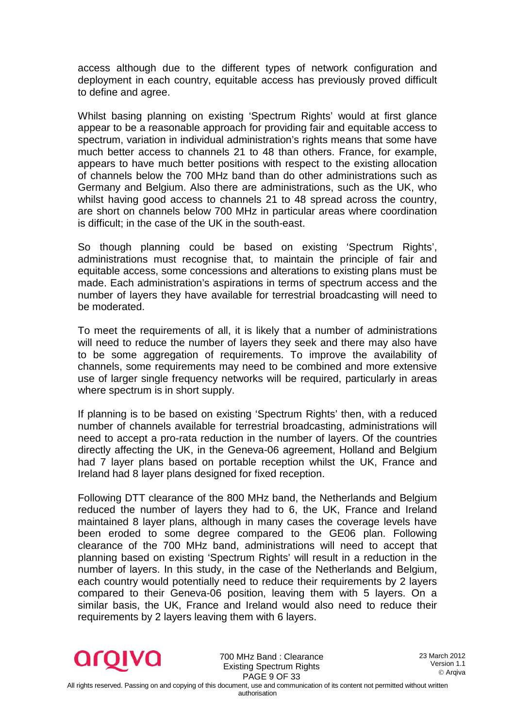access although due to the different types of network configuration and deployment in each country, equitable access has previously proved difficult to define and agree.

Whilst basing planning on existing 'Spectrum Rights' would at first glance appear to be a reasonable approach for providing fair and equitable access to spectrum, variation in individual administration's rights means that some have much better access to channels 21 to 48 than others. France, for example, appears to have much better positions with respect to the existing allocation of channels below the 700 MHz band than do other administrations such as Germany and Belgium. Also there are administrations, such as the UK, who whilst having good access to channels 21 to 48 spread across the country, are short on channels below 700 MHz in particular areas where coordination is difficult; in the case of the UK in the south-east.

So though planning could be based on existing 'Spectrum Rights', administrations must recognise that, to maintain the principle of fair and equitable access, some concessions and alterations to existing plans must be made. Each administration's aspirations in terms of spectrum access and the number of layers they have available for terrestrial broadcasting will need to be moderated.

To meet the requirements of all, it is likely that a number of administrations will need to reduce the number of layers they seek and there may also have to be some aggregation of requirements. To improve the availability of channels, some requirements may need to be combined and more extensive use of larger single frequency networks will be required, particularly in areas where spectrum is in short supply.

If planning is to be based on existing 'Spectrum Rights' then, with a reduced number of channels available for terrestrial broadcasting, administrations will need to accept a pro-rata reduction in the number of layers. Of the countries directly affecting the UK, in the Geneva-06 agreement, Holland and Belgium had 7 layer plans based on portable reception whilst the UK, France and Ireland had 8 layer plans designed for fixed reception.

Following DTT clearance of the 800 MHz band, the Netherlands and Belgium reduced the number of layers they had to 6, the UK, France and Ireland maintained 8 layer plans, although in many cases the coverage levels have been eroded to some degree compared to the GE06 plan. Following clearance of the 700 MHz band, administrations will need to accept that planning based on existing 'Spectrum Rights' will result in a reduction in the number of layers. In this study, in the case of the Netherlands and Belgium, each country would potentially need to reduce their requirements by 2 layers compared to their Geneva-06 position, leaving them with 5 layers. On a similar basis, the UK, France and Ireland would also need to reduce their requirements by 2 layers leaving them with 6 layers.



700 MHz Band : Clearance Existing Spectrum Rights PAGE 9 OF 33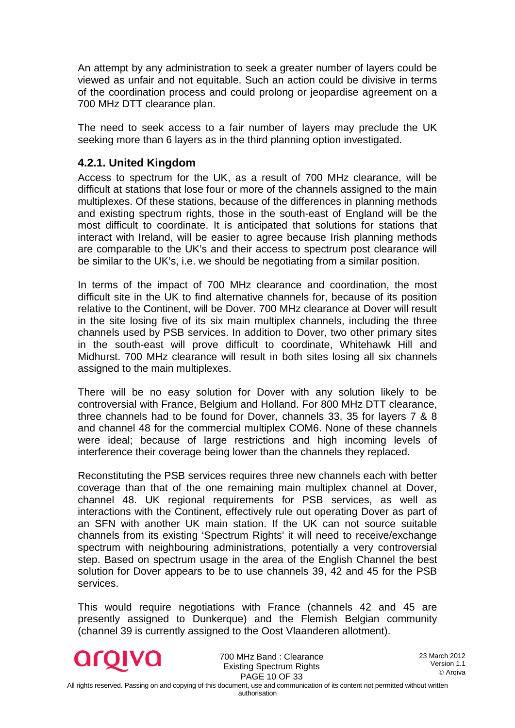An attempt by any administration to seek a greater number of layers could be viewed as unfair and not equitable. Such an action could be divisive in terms of the coordination process and could prolong or jeopardise agreement on a 700 MHz DTT clearance plan.

The need to seek access to a fair number of layers may preclude the UK seeking more than 6 layers as in the third planning option investigated.

#### <span id="page-9-0"></span>**4.2.1. United Kingdom**

Access to spectrum for the UK, as a result of 700 MHz clearance, will be difficult at stations that lose four or more of the channels assigned to the main multiplexes. Of these stations, because of the differences in planning methods and existing spectrum rights, those in the south-east of England will be the most difficult to coordinate. It is anticipated that solutions for stations that interact with Ireland, will be easier to agree because Irish planning methods are comparable to the UK's and their access to spectrum post clearance will be similar to the UK's, i.e. we should be negotiating from a similar position.

In terms of the impact of 700 MHz clearance and coordination, the most difficult site in the UK to find alternative channels for, because of its position relative to the Continent, will be Dover. 700 MHz clearance at Dover will result in the site losing five of its six main multiplex channels, including the three channels used by PSB services. In addition to Dover, two other primary sites in the south-east will prove difficult to coordinate, Whitehawk Hill and Midhurst. 700 MHz clearance will result in both sites losing all six channels assigned to the main multiplexes.

There will be no easy solution for Dover with any solution likely to be controversial with France, Belgium and Holland. For 800 MHz DTT clearance, three channels had to be found for Dover, channels 33, 35 for layers 7 & 8 and channel 48 for the commercial multiplex COM6. None of these channels were ideal; because of large restrictions and high incoming levels of interference their coverage being lower than the channels they replaced.

Reconstituting the PSB services requires three new channels each with better coverage than that of the one remaining main multiplex channel at Dover, channel 48. UK regional requirements for PSB services, as well as interactions with the Continent, effectively rule out operating Dover as part of an SFN with another UK main station. If the UK can not source suitable channels from its existing 'Spectrum Rights' it will need to receive/exchange spectrum with neighbouring administrations, potentially a very controversial step. Based on spectrum usage in the area of the English Channel the best solution for Dover appears to be to use channels 39, 42 and 45 for the PSB services.

This would require negotiations with France (channels 42 and 45 are presently assigned to Dunkerque) and the Flemish Belgian community (channel 39 is currently assigned to the Oost Vlaanderen allotment).



700 MHz Band : Clearance Existing Spectrum Rights PAGE 10 OF 33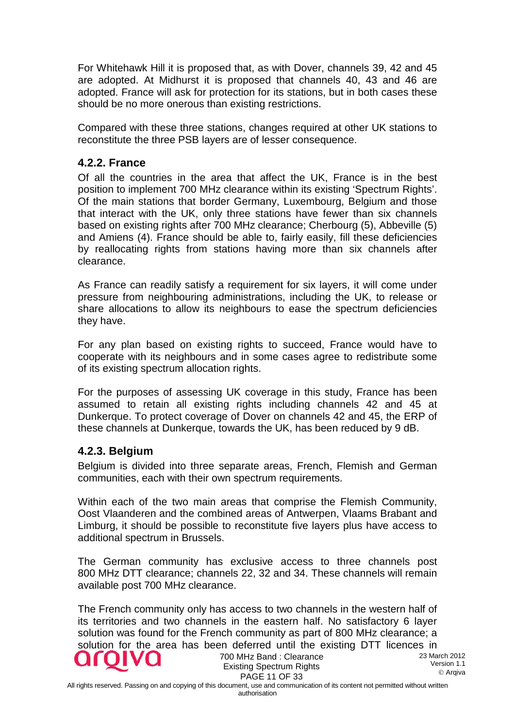For Whitehawk Hill it is proposed that, as with Dover, channels 39, 42 and 45 are adopted. At Midhurst it is proposed that channels 40, 43 and 46 are adopted. France will ask for protection for its stations, but in both cases these should be no more onerous than existing restrictions.

Compared with these three stations, changes required at other UK stations to reconstitute the three PSB layers are of lesser consequence.

#### <span id="page-10-0"></span>**4.2.2. France**

Of all the countries in the area that affect the UK, France is in the best position to implement 700 MHz clearance within its existing 'Spectrum Rights'. Of the main stations that border Germany, Luxembourg, Belgium and those that interact with the UK, only three stations have fewer than six channels based on existing rights after 700 MHz clearance; Cherbourg (5), Abbeville (5) and Amiens (4). France should be able to, fairly easily, fill these deficiencies by reallocating rights from stations having more than six channels after clearance.

As France can readily satisfy a requirement for six layers, it will come under pressure from neighbouring administrations, including the UK, to release or share allocations to allow its neighbours to ease the spectrum deficiencies they have.

For any plan based on existing rights to succeed, France would have to cooperate with its neighbours and in some cases agree to redistribute some of its existing spectrum allocation rights.

For the purposes of assessing UK coverage in this study, France has been assumed to retain all existing rights including channels 42 and 45 at Dunkerque. To protect coverage of Dover on channels 42 and 45, the ERP of these channels at Dunkerque, towards the UK, has been reduced by 9 dB.

#### <span id="page-10-1"></span>**4.2.3. Belgium**

Belgium is divided into three separate areas, French, Flemish and German communities, each with their own spectrum requirements.

Within each of the two main areas that comprise the Flemish Community, Oost Vlaanderen and the combined areas of Antwerpen, Vlaams Brabant and Limburg, it should be possible to reconstitute five layers plus have access to additional spectrum in Brussels.

The German community has exclusive access to three channels post 800 MHz DTT clearance; channels 22, 32 and 34. These channels will remain available post 700 MHz clearance.

The French community only has access to two channels in the western half of its territories and two channels in the eastern half. No satisfactory 6 layer solution was found for the French community as part of 800 MHz clearance; a solution for the area has been deferred until the existing DTT licences in



700 MHz Band : Clearance Existing Spectrum Rights PAGE 11 OF 33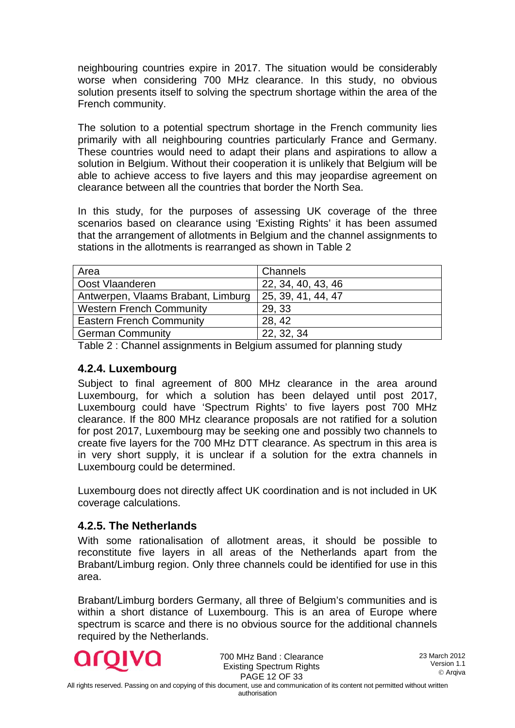neighbouring countries expire in 2017. The situation would be considerably worse when considering 700 MHz clearance. In this study, no obvious solution presents itself to solving the spectrum shortage within the area of the French community.

The solution to a potential spectrum shortage in the French community lies primarily with all neighbouring countries particularly France and Germany. These countries would need to adapt their plans and aspirations to allow a solution in Belgium. Without their cooperation it is unlikely that Belgium will be able to achieve access to five layers and this may jeopardise agreement on clearance between all the countries that border the North Sea.

In this study, for the purposes of assessing UK coverage of the three scenarios based on clearance using 'Existing Rights' it has been assumed that the arrangement of allotments in Belgium and the channel assignments to stations in the allotments is rearranged as shown in Table 2

| Area                               | Channels           |
|------------------------------------|--------------------|
| Oost Vlaanderen                    | 22, 34, 40, 43, 46 |
| Antwerpen, Vlaams Brabant, Limburg | 25, 39, 41, 44, 47 |
| Western French Community           | 29, 33             |
| <b>Eastern French Community</b>    | 28, 42             |
| German Community                   | 22, 32, 34         |

Table 2 : Channel assignments in Belgium assumed for planning study

#### <span id="page-11-0"></span>**4.2.4. Luxembourg**

Subject to final agreement of 800 MHz clearance in the area around Luxembourg, for which a solution has been delayed until post 2017, Luxembourg could have 'Spectrum Rights' to five layers post 700 MHz clearance. If the 800 MHz clearance proposals are not ratified for a solution for post 2017, Luxembourg may be seeking one and possibly two channels to create five layers for the 700 MHz DTT clearance. As spectrum in this area is in very short supply, it is unclear if a solution for the extra channels in Luxembourg could be determined.

Luxembourg does not directly affect UK coordination and is not included in UK coverage calculations.

#### <span id="page-11-1"></span>**4.2.5. The Netherlands**

With some rationalisation of allotment areas, it should be possible to reconstitute five layers in all areas of the Netherlands apart from the Brabant/Limburg region. Only three channels could be identified for use in this area.

Brabant/Limburg borders Germany, all three of Belgium's communities and is within a short distance of Luxembourg. This is an area of Europe where spectrum is scarce and there is no obvious source for the additional channels required by the Netherlands.



700 MHz Band : Clearance Existing Spectrum Rights PAGE 12 OF 33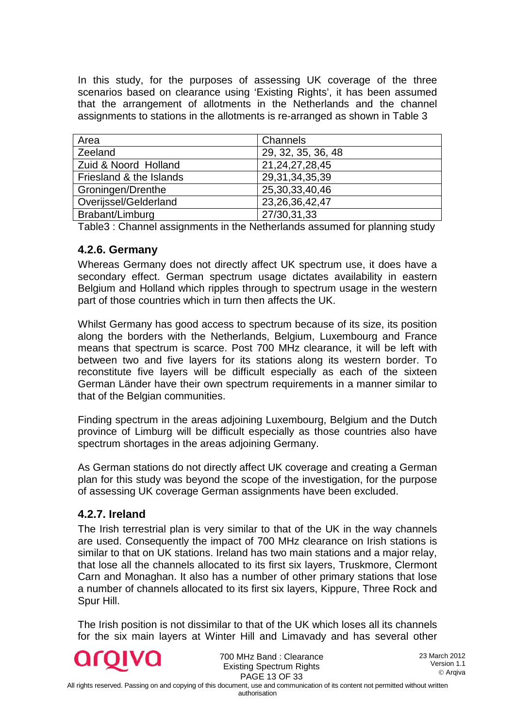In this study, for the purposes of assessing UK coverage of the three scenarios based on clearance using 'Existing Rights', it has been assumed that the arrangement of allotments in the Netherlands and the channel assignments to stations in the allotments is re-arranged as shown in Table 3

| Area                    | Channels           |
|-------------------------|--------------------|
| Zeeland                 | 29, 32, 35, 36, 48 |
| Zuid & Noord Holland    | 21, 24, 27, 28, 45 |
| Friesland & the Islands | 29, 31, 34, 35, 39 |
| Groningen/Drenthe       | 25,30,33,40,46     |
| Overijssel/Gelderland   | 23, 26, 36, 42, 47 |
| Brabant/Limburg         | 27/30,31,33        |

Table3 : Channel assignments in the Netherlands assumed for planning study

#### <span id="page-12-0"></span>**4.2.6. Germany**

Whereas Germany does not directly affect UK spectrum use, it does have a secondary effect. German spectrum usage dictates availability in eastern Belgium and Holland which ripples through to spectrum usage in the western part of those countries which in turn then affects the UK.

Whilst Germany has good access to spectrum because of its size, its position along the borders with the Netherlands, Belgium, Luxembourg and France means that spectrum is scarce. Post 700 MHz clearance, it will be left with between two and five layers for its stations along its western border. To reconstitute five layers will be difficult especially as each of the sixteen German Länder have their own spectrum requirements in a manner similar to that of the Belgian communities.

Finding spectrum in the areas adjoining Luxembourg, Belgium and the Dutch province of Limburg will be difficult especially as those countries also have spectrum shortages in the areas adjoining Germany.

As German stations do not directly affect UK coverage and creating a German plan for this study was beyond the scope of the investigation, for the purpose of assessing UK coverage German assignments have been excluded.

#### <span id="page-12-1"></span>**4.2.7. Ireland**

The Irish terrestrial plan is very similar to that of the UK in the way channels are used. Consequently the impact of 700 MHz clearance on Irish stations is similar to that on UK stations. Ireland has two main stations and a major relay, that lose all the channels allocated to its first six layers, Truskmore, Clermont Carn and Monaghan. It also has a number of other primary stations that lose a number of channels allocated to its first six layers, Kippure, Three Rock and Spur Hill.

The Irish position is not dissimilar to that of the UK which loses all its channels for the six main layers at Winter Hill and Limavady and has several other



700 MHz Band : Clearance Existing Spectrum Rights PAGE 13 OF 33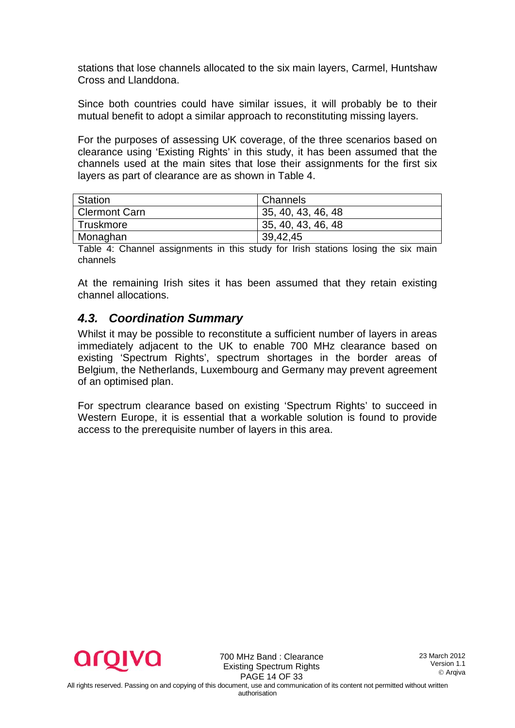stations that lose channels allocated to the six main layers, Carmel, Huntshaw Cross and Llanddona.

Since both countries could have similar issues, it will probably be to their mutual benefit to adopt a similar approach to reconstituting missing layers.

For the purposes of assessing UK coverage, of the three scenarios based on clearance using 'Existing Rights' in this study, it has been assumed that the channels used at the main sites that lose their assignments for the first six layers as part of clearance are as shown in Table 4.

| Station       | Channels           |
|---------------|--------------------|
| Clermont Carn | 35, 40, 43, 46, 48 |
| Truskmore     | 35, 40, 43, 46, 48 |
| Monaghan      | 39,42,45           |

Table 4: Channel assignments in this study for Irish stations losing the six main channels

At the remaining Irish sites it has been assumed that they retain existing channel allocations.

### <span id="page-13-0"></span>*4.3. Coordination Summary*

Whilst it may be possible to reconstitute a sufficient number of layers in areas immediately adjacent to the UK to enable 700 MHz clearance based on existing 'Spectrum Rights', spectrum shortages in the border areas of Belgium, the Netherlands, Luxembourg and Germany may prevent agreement of an optimised plan.

For spectrum clearance based on existing 'Spectrum Rights' to succeed in Western Europe, it is essential that a workable solution is found to provide access to the prerequisite number of layers in this area.



700 MHz Band : Clearance Existing Spectrum Rights PAGE 14 OF 33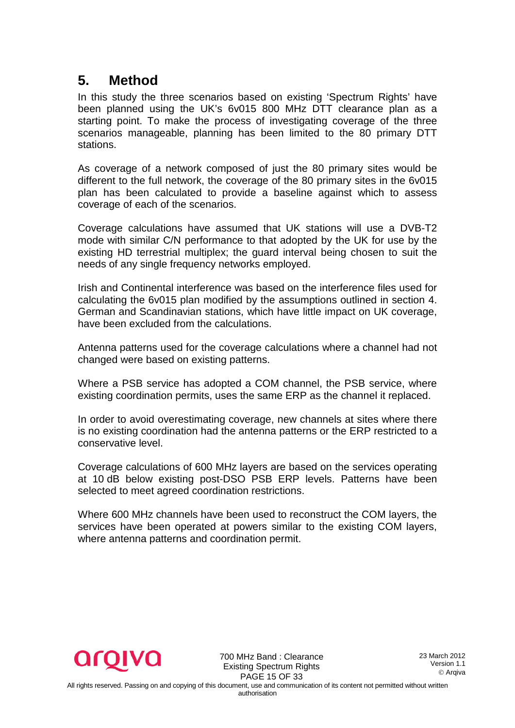## <span id="page-14-0"></span>**5. Method**

In this study the three scenarios based on existing 'Spectrum Rights' have been planned using the UK's 6v015 800 MHz DTT clearance plan as a starting point. To make the process of investigating coverage of the three scenarios manageable, planning has been limited to the 80 primary DTT stations.

As coverage of a network composed of just the 80 primary sites would be different to the full network, the coverage of the 80 primary sites in the 6v015 plan has been calculated to provide a baseline against which to assess coverage of each of the scenarios.

Coverage calculations have assumed that UK stations will use a DVB-T2 mode with similar C/N performance to that adopted by the UK for use by the existing HD terrestrial multiplex; the guard interval being chosen to suit the needs of any single frequency networks employed.

Irish and Continental interference was based on the interference files used for calculating the 6v015 plan modified by the assumptions outlined in section 4. German and Scandinavian stations, which have little impact on UK coverage, have been excluded from the calculations.

Antenna patterns used for the coverage calculations where a channel had not changed were based on existing patterns.

Where a PSB service has adopted a COM channel, the PSB service, where existing coordination permits, uses the same ERP as the channel it replaced.

In order to avoid overestimating coverage, new channels at sites where there is no existing coordination had the antenna patterns or the ERP restricted to a conservative level.

Coverage calculations of 600 MHz layers are based on the services operating at 10 dB below existing post-DSO PSB ERP levels. Patterns have been selected to meet agreed coordination restrictions.

Where 600 MHz channels have been used to reconstruct the COM layers, the services have been operated at powers similar to the existing COM layers, where antenna patterns and coordination permit.



700 MHz Band : Clearance Existing Spectrum Rights PAGE 15 OF 33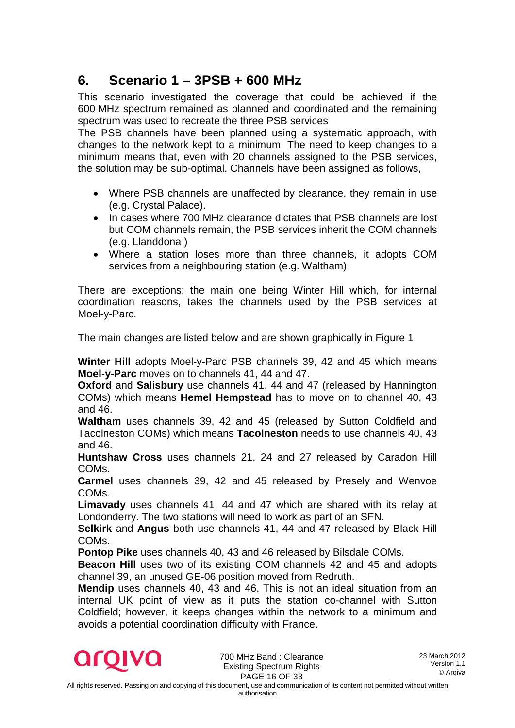## <span id="page-15-0"></span>**6. Scenario 1 – 3PSB + 600 MHz**

This scenario investigated the coverage that could be achieved if the 600 MHz spectrum remained as planned and coordinated and the remaining spectrum was used to recreate the three PSB services

The PSB channels have been planned using a systematic approach, with changes to the network kept to a minimum. The need to keep changes to a minimum means that, even with 20 channels assigned to the PSB services, the solution may be sub-optimal. Channels have been assigned as follows,

- Where PSB channels are unaffected by clearance, they remain in use (e.g. Crystal Palace).
- In cases where 700 MHz clearance dictates that PSB channels are lost but COM channels remain, the PSB services inherit the COM channels (e.g. Llanddona )
- Where a station loses more than three channels, it adopts COM services from a neighbouring station (e.g. Waltham)

There are exceptions; the main one being Winter Hill which, for internal coordination reasons, takes the channels used by the PSB services at Moel-y-Parc.

The main changes are listed below and are shown graphically in Figure 1.

**Winter Hill** adopts Moel-y-Parc PSB channels 39, 42 and 45 which means **Moel-y-Parc** moves on to channels 41, 44 and 47.

**Oxford** and **Salisbury** use channels 41, 44 and 47 (released by Hannington COMs) which means **Hemel Hempstead** has to move on to channel 40, 43 and 46.

**Waltham** uses channels 39, 42 and 45 (released by Sutton Coldfield and Tacolneston COMs) which means **Tacolneston** needs to use channels 40, 43 and 46.

**Huntshaw Cross** uses channels 21, 24 and 27 released by Caradon Hill COMs.

**Carmel** uses channels 39, 42 and 45 released by Presely and Wenvoe COMs.

**Limavady** uses channels 41, 44 and 47 which are shared with its relay at Londonderry. The two stations will need to work as part of an SFN.

**Selkirk** and **Angus** both use channels 41, 44 and 47 released by Black Hill COMs.

**Pontop Pike** uses channels 40, 43 and 46 released by Bilsdale COMs.

**Beacon Hill** uses two of its existing COM channels 42 and 45 and adopts channel 39, an unused GE-06 position moved from Redruth.

**Mendip** uses channels 40, 43 and 46. This is not an ideal situation from an internal UK point of view as it puts the station co-channel with Sutton Coldfield; however, it keeps changes within the network to a minimum and avoids a potential coordination difficulty with France.



700 MHz Band : Clearance Existing Spectrum Rights PAGE 16 OF 33

authorisation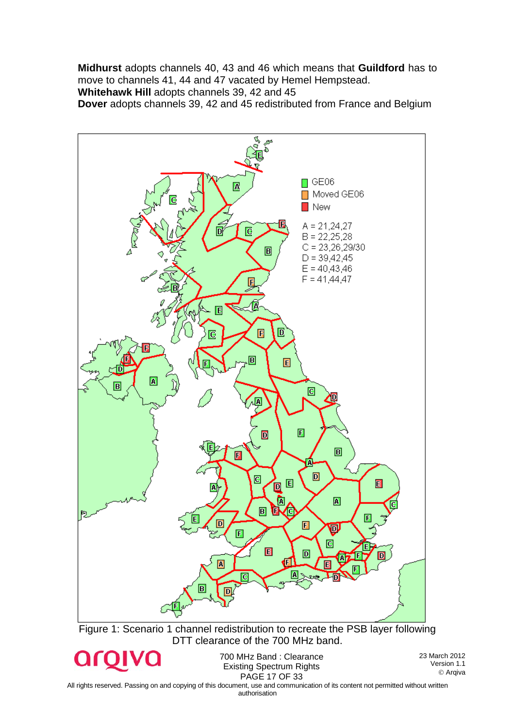**Midhurst** adopts channels 40, 43 and 46 which means that **Guildford** has to move to channels 41, 44 and 47 vacated by Hemel Hempstead.

**Whitehawk Hill** adopts channels 39, 42 and 45

**Dover** adopts channels 39, 42 and 45 redistributed from France and Belgium



All rights reserved. Passing on and copying of this document, use and communication of its content not permitted without written authorisation

Arqiva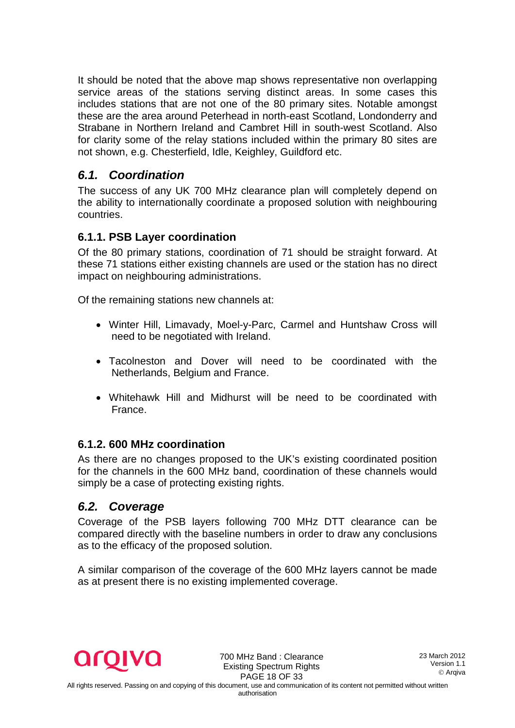It should be noted that the above map shows representative non overlapping service areas of the stations serving distinct areas. In some cases this includes stations that are not one of the 80 primary sites. Notable amongst these are the area around Peterhead in north-east Scotland, Londonderry and Strabane in Northern Ireland and Cambret Hill in south-west Scotland. Also for clarity some of the relay stations included within the primary 80 sites are not shown, e.g. Chesterfield, Idle, Keighley, Guildford etc.

### <span id="page-17-0"></span>*6.1. Coordination*

The success of any UK 700 MHz clearance plan will completely depend on the ability to internationally coordinate a proposed solution with neighbouring countries.

#### <span id="page-17-1"></span>**6.1.1. PSB Layer coordination**

Of the 80 primary stations, coordination of 71 should be straight forward. At these 71 stations either existing channels are used or the station has no direct impact on neighbouring administrations.

Of the remaining stations new channels at:

- Winter Hill, Limavady, Moel-y-Parc, Carmel and Huntshaw Cross will need to be negotiated with Ireland.
- Tacolneston and Dover will need to be coordinated with the Netherlands, Belgium and France.
- Whitehawk Hill and Midhurst will be need to be coordinated with France.

#### <span id="page-17-2"></span>**6.1.2. 600 MHz coordination**

As there are no changes proposed to the UK's existing coordinated position for the channels in the 600 MHz band, coordination of these channels would simply be a case of protecting existing rights.

### <span id="page-17-3"></span>*6.2. Coverage*

Coverage of the PSB layers following 700 MHz DTT clearance can be compared directly with the baseline numbers in order to draw any conclusions as to the efficacy of the proposed solution.

A similar comparison of the coverage of the 600 MHz layers cannot be made as at present there is no existing implemented coverage.



700 MHz Band : Clearance Existing Spectrum Rights PAGE 18 OF 33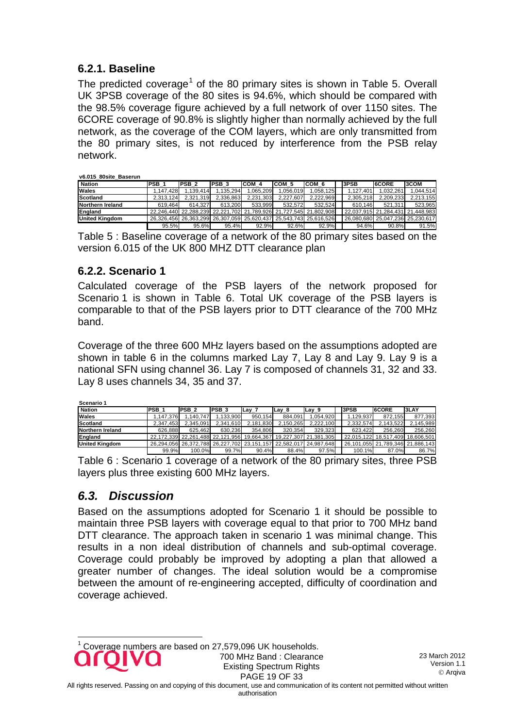#### **6.2.1. Baseline**

<span id="page-18-0"></span>The predicted coverage<sup>[1](#page-18-3)</sup> of the 80 primary sites is shown in Table 5. Overall UK 3PSB coverage of the 80 sites is 94.6%, which should be compared with the 98.5% coverage figure achieved by a full network of over 1150 sites. The 6CORE coverage of 90.8% is slightly higher than normally achieved by the full network, as the coverage of the COM layers, which are only transmitted from the 80 primary sites, is not reduced by interference from the PSB relay network.

| v6.015 80site Baserun |                  |                  |           |           |           |                                                                   |              |                                  |              |
|-----------------------|------------------|------------------|-----------|-----------|-----------|-------------------------------------------------------------------|--------------|----------------------------------|--------------|
| <b>Nation</b>         | PSB <sub>1</sub> | PSB <sub>2</sub> | IPSB 3    | COM 4     | ICOM 5    | ICOM 6                                                            | <b>I3PSB</b> | <b>I</b> 6CORE                   | <b>I3COM</b> |
| <b>Wales</b>          | 1.147.428        | 1.139.414        | 1.135.294 | .065.209  | .056.019  | 1.058.125                                                         | 1.127.401    | 1.032.261                        | 1.044.514    |
| Scotland              | 2.313.124        | 2.321.319        | 2.336.863 | 2.231.303 | 2.227.607 | 2.222.969                                                         | 2.305.218    | 2.209.233                        | 2.213.155    |
| Northern Ireland      | 619.464          | 614.327          | 613.200   | 533.999   | 532.572   | 532.524                                                           | 610.146      | 521.311                          | 523.965      |
| <b>England</b>        |                  |                  |           |           |           | 22.246.440 22.288.239 22.221.702 21.789.926 21.727.545 21.802.908 |              | 22.037.915 21.284.431 21.448.983 |              |
| <b>United Kingdom</b> |                  |                  |           |           |           | 26,326,456 26,363,299 26,307,059 25,620,437 25,543,743 25,616,526 |              | 26.080.680 25.047.236 25.230.617 |              |
|                       | 95.5%            | 95.6%            | 95.4%     | 92.9%     | 92.6%     | 92.9%                                                             | 94.6%        | 90.8%                            | 91.5%        |

Table 5 : Baseline coverage of a network of the 80 primary sites based on the version 6.015 of the UK 800 MHZ DTT clearance plan

#### <span id="page-18-1"></span>**6.2.2. Scenario 1**

Calculated coverage of the PSB layers of the network proposed for Scenario 1 is shown in Table 6. Total UK coverage of the PSB layers is comparable to that of the PSB layers prior to DTT clearance of the 700 MHz band.

Coverage of the three 600 MHz layers based on the assumptions adopted are shown in table 6 in the columns marked Lay 7, Lay 8 and Lay 9. Lay 9 is a national SFN using channel 36. Lay 7 is composed of channels 31, 32 and 33. Lay 8 uses channels 34, 35 and 37.

| Scenario 1            |                  |               |           |           |           |                                                                   |             |              |                                  |
|-----------------------|------------------|---------------|-----------|-----------|-----------|-------------------------------------------------------------------|-------------|--------------|----------------------------------|
| <b>Nation</b>         | PSB <sub>1</sub> | <b>IPSB 2</b> | IPSB 3    | $Lay_7$   | ILay 8    | lLav 9                                                            | <b>SPSB</b> | <b>6CORE</b> | 3LAY                             |
| Wales                 | 1.147.376        | 1.140.747     | 1.133.900 | 950.154   | 884.091   | 1.054.920                                                         | 1.129.937   | 872.155      | 877,393                          |
| Scotland              | 2.347.453        | 2.345.091     | 2,341,610 | 2.181.830 | 2.150.265 | 2,222,100                                                         | 2.332.574   | 2.143.522    | 2.145.989                        |
| Northern Ireland      | 626.888          | 625.462       | 630.236   | 354.806   | 320.354   | 329.323                                                           | 623.422     | 256.260      | 256.260                          |
| England               |                  |               |           |           |           | 22.172.339 22.261.488 22.121.956 19.664.367 19.227.307 21.381.305 |             |              | 22.015.122 18.517.409 18.606.501 |
| <b>United Kingdom</b> |                  |               |           |           |           | 26.294.056 26.372.788 26.227.702 23.151.157 22.582.017 24.987.648 |             |              | 26.101.055 21.789.346 21.886.143 |
|                       | 99.9%            | 100.0%        | 99.7%     | 90.4%     | 88.4%     | 97.5%                                                             | 100.1%      | 87.0%        | 86.7%                            |

Table 6 : Scenario 1 coverage of a network of the 80 primary sites, three PSB layers plus three existing 600 MHz layers.

### <span id="page-18-2"></span>*6.3. Discussion*

<span id="page-18-3"></span>Based on the assumptions adopted for Scenario 1 it should be possible to maintain three PSB layers with coverage equal to that prior to 700 MHz band DTT clearance. The approach taken in scenario 1 was minimal change. This results in a non ideal distribution of channels and sub-optimal coverage. Coverage could probably be improved by adopting a plan that allowed a greater number of changes. The ideal solution would be a compromise between the amount of re-engineering accepted, difficulty of coordination and coverage achieved.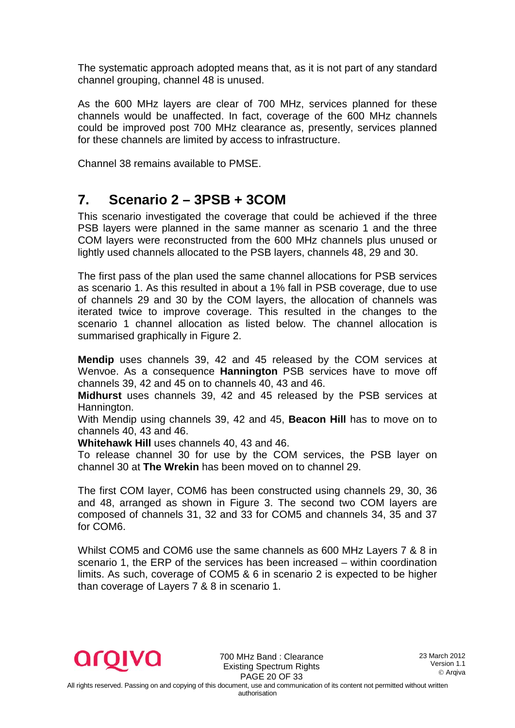The systematic approach adopted means that, as it is not part of any standard channel grouping, channel 48 is unused.

As the 600 MHz layers are clear of 700 MHz, services planned for these channels would be unaffected. In fact, coverage of the 600 MHz channels could be improved post 700 MHz clearance as, presently, services planned for these channels are limited by access to infrastructure.

Channel 38 remains available to PMSE.

## <span id="page-19-0"></span>**7. Scenario 2 – 3PSB + 3COM**

This scenario investigated the coverage that could be achieved if the three PSB layers were planned in the same manner as scenario 1 and the three COM layers were reconstructed from the 600 MHz channels plus unused or lightly used channels allocated to the PSB layers, channels 48, 29 and 30.

The first pass of the plan used the same channel allocations for PSB services as scenario 1. As this resulted in about a 1% fall in PSB coverage, due to use of channels 29 and 30 by the COM layers, the allocation of channels was iterated twice to improve coverage. This resulted in the changes to the scenario 1 channel allocation as listed below. The channel allocation is summarised graphically in Figure 2.

**Mendip** uses channels 39, 42 and 45 released by the COM services at Wenvoe. As a consequence **Hannington** PSB services have to move off channels 39, 42 and 45 on to channels 40, 43 and 46.

**Midhurst** uses channels 39, 42 and 45 released by the PSB services at Hannington.

With Mendip using channels 39, 42 and 45, **Beacon Hill** has to move on to channels 40, 43 and 46.

**Whitehawk Hill** uses channels 40, 43 and 46.

To release channel 30 for use by the COM services, the PSB layer on channel 30 at **The Wrekin** has been moved on to channel 29.

The first COM layer, COM6 has been constructed using channels 29, 30, 36 and 48, arranged as shown in Figure 3. The second two COM layers are composed of channels 31, 32 and 33 for COM5 and channels 34, 35 and 37 for COM6.

Whilst COM5 and COM6 use the same channels as 600 MHz Layers 7 & 8 in scenario 1, the ERP of the services has been increased – within coordination limits. As such, coverage of COM5 & 6 in scenario 2 is expected to be higher than coverage of Layers 7 & 8 in scenario 1.



700 MHz Band : Clearance Existing Spectrum Rights PAGE 20 OF 33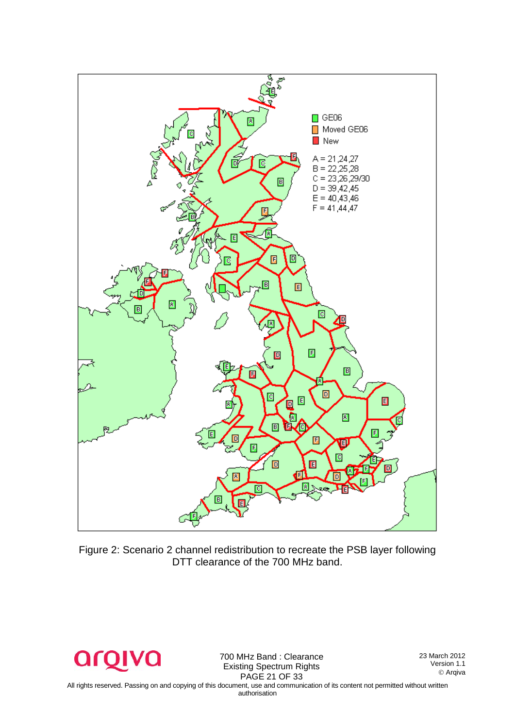

Figure 2: Scenario 2 channel redistribution to recreate the PSB layer following DTT clearance of the 700 MHz band.



700 MHz Band : Clearance Existing Spectrum Rights PAGE 21 OF 33

23 March 2012 Version 1.1 Arqiva

All rights reserved. Passing on and copying of this document, use and communication of its content not permitted without written authorisation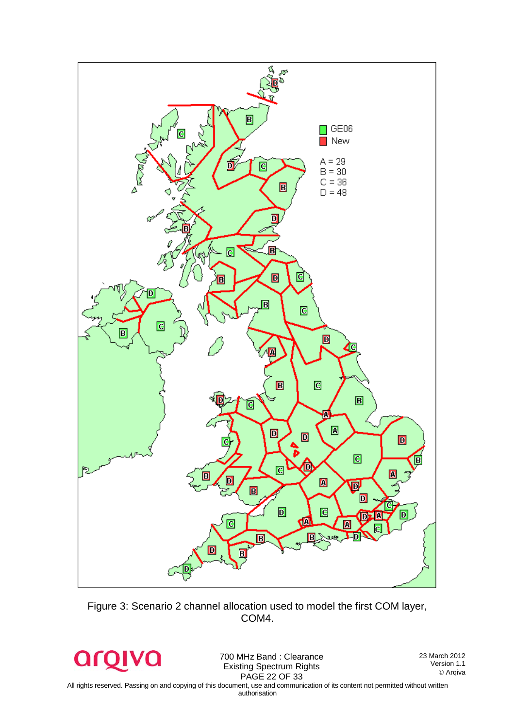

Figure 3: Scenario 2 channel allocation used to model the first COM layer, COM4.

argivo

700 MHz Band : Clearance Existing Spectrum Rights PAGE 22 OF 33

23 March 2012 Version 1.1 Arqiva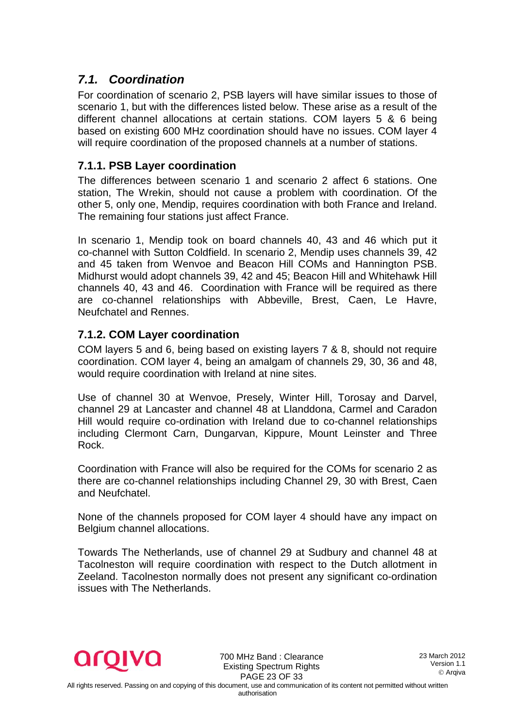### <span id="page-22-0"></span>*7.1. Coordination*

For coordination of scenario 2, PSB layers will have similar issues to those of scenario 1, but with the differences listed below. These arise as a result of the different channel allocations at certain stations. COM layers 5 & 6 being based on existing 600 MHz coordination should have no issues. COM layer 4 will require coordination of the proposed channels at a number of stations.

#### <span id="page-22-1"></span>**7.1.1. PSB Layer coordination**

The differences between scenario 1 and scenario 2 affect 6 stations. One station, The Wrekin, should not cause a problem with coordination. Of the other 5, only one, Mendip, requires coordination with both France and Ireland. The remaining four stations just affect France.

In scenario 1, Mendip took on board channels 40, 43 and 46 which put it co-channel with Sutton Coldfield. In scenario 2, Mendip uses channels 39, 42 and 45 taken from Wenvoe and Beacon Hill COMs and Hannington PSB. Midhurst would adopt channels 39, 42 and 45; Beacon Hill and Whitehawk Hill channels 40, 43 and 46. Coordination with France will be required as there are co-channel relationships with Abbeville, Brest, Caen, Le Havre, Neufchatel and Rennes.

### <span id="page-22-2"></span>**7.1.2. COM Layer coordination**

COM layers 5 and 6, being based on existing layers 7 & 8, should not require coordination. COM layer 4, being an amalgam of channels 29, 30, 36 and 48, would require coordination with Ireland at nine sites.

Use of channel 30 at Wenvoe, Presely, Winter Hill, Torosay and Darvel, channel 29 at Lancaster and channel 48 at Llanddona, Carmel and Caradon Hill would require co-ordination with Ireland due to co-channel relationships including Clermont Carn, Dungarvan, Kippure, Mount Leinster and Three Rock.

Coordination with France will also be required for the COMs for scenario 2 as there are co-channel relationships including Channel 29, 30 with Brest, Caen and Neufchatel.

None of the channels proposed for COM layer 4 should have any impact on Belgium channel allocations.

Towards The Netherlands, use of channel 29 at Sudbury and channel 48 at Tacolneston will require coordination with respect to the Dutch allotment in Zeeland. Tacolneston normally does not present any significant co-ordination issues with The Netherlands.



700 MHz Band : Clearance Existing Spectrum Rights PAGE 23 OF 33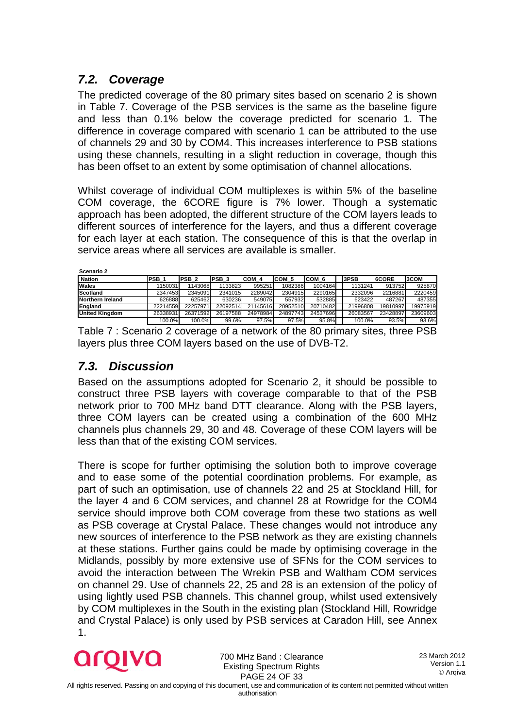### <span id="page-23-0"></span>*7.2. Coverage*

The predicted coverage of the 80 primary sites based on scenario 2 is shown in Table 7. Coverage of the PSB services is the same as the baseline figure and less than 0.1% below the coverage predicted for scenario 1. The difference in coverage compared with scenario 1 can be attributed to the use of channels 29 and 30 by COM4. This increases interference to PSB stations using these channels, resulting in a slight reduction in coverage, though this has been offset to an extent by some optimisation of channel allocations.

Whilst coverage of individual COM multiplexes is within 5% of the baseline COM coverage, the 6CORE figure is 7% lower. Though a systematic approach has been adopted, the different structure of the COM layers leads to different sources of interference for the layers, and thus a different coverage for each layer at each station. The consequence of this is that the overlap in service areas where all services are available is smaller.

| Scenario 2            |                  |                  |                  |          |          |          |          |              |             |
|-----------------------|------------------|------------------|------------------|----------|----------|----------|----------|--------------|-------------|
| <b>Nation</b>         | PSB <sub>1</sub> | PSB <sub>2</sub> | PSB <sub>3</sub> | COM 4    | ICOM 5   | ICOM 6   | 3PSB     | <b>6CORE</b> | <b>3COM</b> |
| Wales                 | 1150031          | 1143068          | 1133823          | 995251   | 1082386  | 1004164  | 1131241  | 913752       | 925870      |
| Scotland              | 2347453          | 2345091          | 2341015          | 2289042  | 2304915  | 2290165  | 2332096  | 2216881      | 2220459     |
| Northern Ireland      | 626888           | 625462           | 630236           | 549075   | 557932   | 532885   | 623422   | 487267       | 487355      |
| England               | 22214559         | 22257971         | 22092514         | 21145616 | 20952510 | 20710482 | 21996808 | 19810997     | 19975919    |
| <b>United Kingdom</b> | 26338931         | 26371592         | 26197588         | 24978984 | 24897743 | 24537696 | 26083567 | 23428897     | 23609603    |
|                       | 100.0%           | 100.0%           | 99.6%            | 97.5%    | 97.5%    | 95.8%    | 100.0%   | 93.5%        | 93.6%       |

Table 7 : Scenario 2 coverage of a network of the 80 primary sites, three PSB layers plus three COM layers based on the use of DVB-T2.

### <span id="page-23-1"></span>*7.3. Discussion*

Based on the assumptions adopted for Scenario 2, it should be possible to construct three PSB layers with coverage comparable to that of the PSB network prior to 700 MHz band DTT clearance. Along with the PSB layers, three COM layers can be created using a combination of the 600 MHz channels plus channels 29, 30 and 48. Coverage of these COM layers will be less than that of the existing COM services.

There is scope for further optimising the solution both to improve coverage and to ease some of the potential coordination problems. For example, as part of such an optimisation, use of channels 22 and 25 at Stockland Hill, for the layer 4 and 6 COM services, and channel 28 at Rowridge for the COM4 service should improve both COM coverage from these two stations as well as PSB coverage at Crystal Palace. These changes would not introduce any new sources of interference to the PSB network as they are existing channels at these stations. Further gains could be made by optimising coverage in the Midlands, possibly by more extensive use of SFNs for the COM services to avoid the interaction between The Wrekin PSB and Waltham COM services on channel 29. Use of channels 22, 25 and 28 is an extension of the policy of using lightly used PSB channels. This channel group, whilst used extensively by COM multiplexes in the South in the existing plan (Stockland Hill, Rowridge and Crystal Palace) is only used by PSB services at Caradon Hill, see Annex 1.



700 MHz Band : Clearance Existing Spectrum Rights PAGE 24 OF 33

23 March 2012 Version 1.1 Arqiva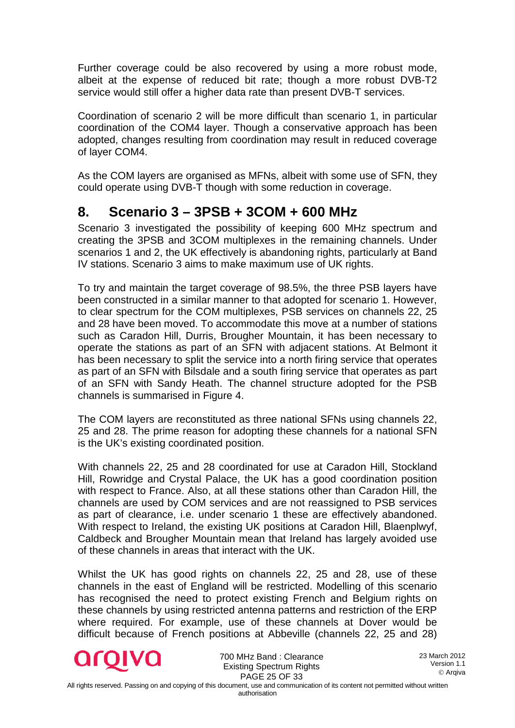Further coverage could be also recovered by using a more robust mode, albeit at the expense of reduced bit rate; though a more robust DVB-T2 service would still offer a higher data rate than present DVB-T services.

Coordination of scenario 2 will be more difficult than scenario 1, in particular coordination of the COM4 layer. Though a conservative approach has been adopted, changes resulting from coordination may result in reduced coverage of layer COM4.

As the COM layers are organised as MFNs, albeit with some use of SFN, they could operate using DVB-T though with some reduction in coverage.

## <span id="page-24-0"></span>**8. Scenario 3 – 3PSB + 3COM + 600 MHz**

Scenario 3 investigated the possibility of keeping 600 MHz spectrum and creating the 3PSB and 3COM multiplexes in the remaining channels. Under scenarios 1 and 2, the UK effectively is abandoning rights, particularly at Band IV stations. Scenario 3 aims to make maximum use of UK rights.

To try and maintain the target coverage of 98.5%, the three PSB layers have been constructed in a similar manner to that adopted for scenario 1. However, to clear spectrum for the COM multiplexes, PSB services on channels 22, 25 and 28 have been moved. To accommodate this move at a number of stations such as Caradon Hill, Durris, Brougher Mountain, it has been necessary to operate the stations as part of an SFN with adjacent stations. At Belmont it has been necessary to split the service into a north firing service that operates as part of an SFN with Bilsdale and a south firing service that operates as part of an SFN with Sandy Heath. The channel structure adopted for the PSB channels is summarised in Figure 4.

The COM layers are reconstituted as three national SFNs using channels 22, 25 and 28. The prime reason for adopting these channels for a national SFN is the UK's existing coordinated position.

With channels 22, 25 and 28 coordinated for use at Caradon Hill, Stockland Hill, Rowridge and Crystal Palace, the UK has a good coordination position with respect to France. Also, at all these stations other than Caradon Hill, the channels are used by COM services and are not reassigned to PSB services as part of clearance, i.e. under scenario 1 these are effectively abandoned. With respect to Ireland, the existing UK positions at Caradon Hill, Blaenplwyf, Caldbeck and Brougher Mountain mean that Ireland has largely avoided use of these channels in areas that interact with the UK.

Whilst the UK has good rights on channels 22, 25 and 28, use of these channels in the east of England will be restricted. Modelling of this scenario has recognised the need to protect existing French and Belgium rights on these channels by using restricted antenna patterns and restriction of the ERP where required. For example, use of these channels at Dover would be difficult because of French positions at Abbeville (channels 22, 25 and 28)



700 MHz Band : Clearance Existing Spectrum Rights PAGE 25 OF 33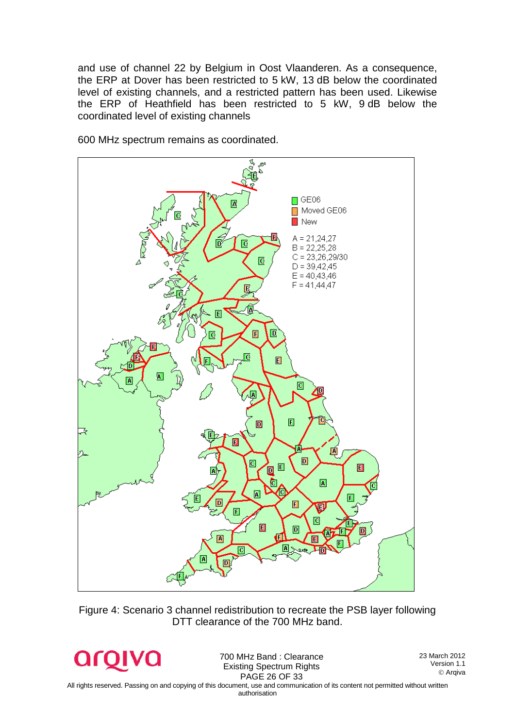and use of channel 22 by Belgium in Oost Vlaanderen. As a consequence, the ERP at Dover has been restricted to 5 kW, 13 dB below the coordinated level of existing channels, and a restricted pattern has been used. Likewise the ERP of Heathfield has been restricted to 5 kW, 9 dB below the coordinated level of existing channels



600 MHz spectrum remains as coordinated.

Figure 4: Scenario 3 channel redistribution to recreate the PSB layer following DTT clearance of the 700 MHz band.

arc

700 MHz Band : Clearance Existing Spectrum Rights PAGE 26 OF 33

23 March 2012 Version 1.1 Arqiva

All rights reserved. Passing on and copying of this document, use and communication of its content not permitted without written authorisation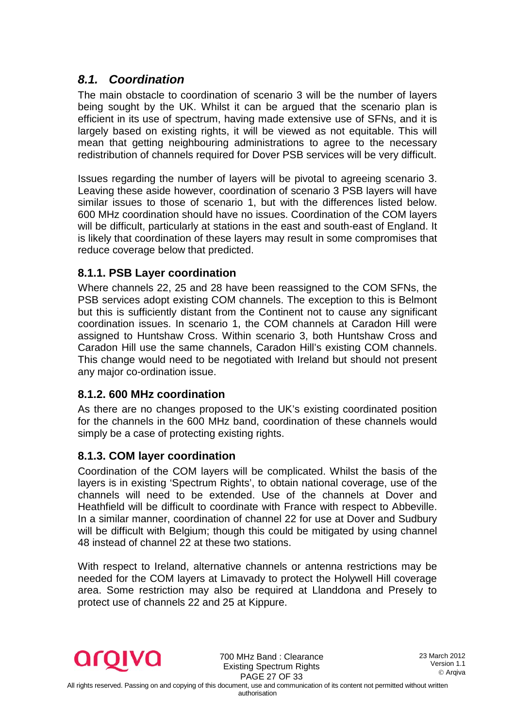### <span id="page-26-0"></span>*8.1. Coordination*

The main obstacle to coordination of scenario 3 will be the number of layers being sought by the UK. Whilst it can be argued that the scenario plan is efficient in its use of spectrum, having made extensive use of SFNs, and it is largely based on existing rights, it will be viewed as not equitable. This will mean that getting neighbouring administrations to agree to the necessary redistribution of channels required for Dover PSB services will be very difficult.

Issues regarding the number of layers will be pivotal to agreeing scenario 3. Leaving these aside however, coordination of scenario 3 PSB layers will have similar issues to those of scenario 1, but with the differences listed below. 600 MHz coordination should have no issues. Coordination of the COM layers will be difficult, particularly at stations in the east and south-east of England. It is likely that coordination of these layers may result in some compromises that reduce coverage below that predicted.

#### <span id="page-26-1"></span>**8.1.1. PSB Layer coordination**

Where channels 22, 25 and 28 have been reassigned to the COM SFNs, the PSB services adopt existing COM channels. The exception to this is Belmont but this is sufficiently distant from the Continent not to cause any significant coordination issues. In scenario 1, the COM channels at Caradon Hill were assigned to Huntshaw Cross. Within scenario 3, both Huntshaw Cross and Caradon Hill use the same channels, Caradon Hill's existing COM channels. This change would need to be negotiated with Ireland but should not present any major co-ordination issue.

#### <span id="page-26-2"></span>**8.1.2. 600 MHz coordination**

As there are no changes proposed to the UK's existing coordinated position for the channels in the 600 MHz band, coordination of these channels would simply be a case of protecting existing rights.

#### <span id="page-26-3"></span>**8.1.3. COM layer coordination**

Coordination of the COM layers will be complicated. Whilst the basis of the layers is in existing 'Spectrum Rights', to obtain national coverage, use of the channels will need to be extended. Use of the channels at Dover and Heathfield will be difficult to coordinate with France with respect to Abbeville. In a similar manner, coordination of channel 22 for use at Dover and Sudbury will be difficult with Belgium; though this could be mitigated by using channel 48 instead of channel 22 at these two stations.

With respect to Ireland, alternative channels or antenna restrictions may be needed for the COM layers at Limavady to protect the Holywell Hill coverage area. Some restriction may also be required at Llanddona and Presely to protect use of channels 22 and 25 at Kippure.



700 MHz Band : Clearance Existing Spectrum Rights PAGE 27 OF 33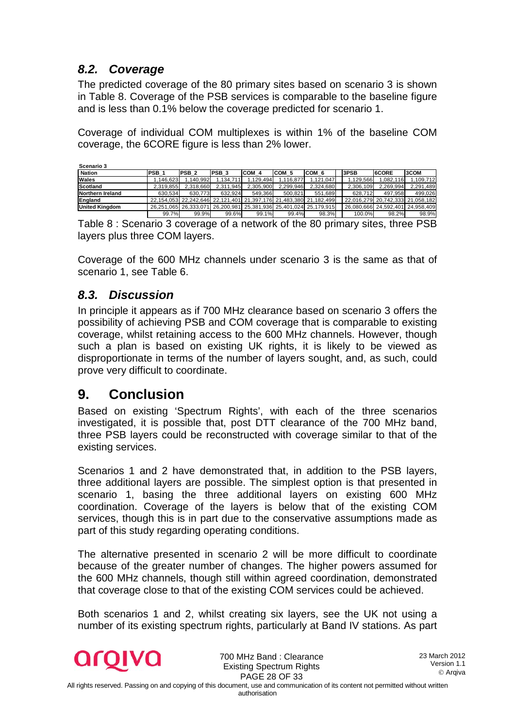### *8.2. Coverage*

<span id="page-27-0"></span>The predicted coverage of the 80 primary sites based on scenario 3 is shown in Table 8. Coverage of the PSB services is comparable to the baseline figure and is less than 0.1% below the coverage predicted for scenario 1.

Coverage of individual COM multiplexes is within 1% of the baseline COM coverage, the 6CORE figure is less than 2% lower.

| Scenario 3            |                  |                  |           |           |           |                                                                   |           |                                  |           |
|-----------------------|------------------|------------------|-----------|-----------|-----------|-------------------------------------------------------------------|-----------|----------------------------------|-----------|
| <b>Nation</b>         | PSB <sub>1</sub> | PSB <sub>2</sub> | IPSB 3    | ICOM 4    | ICOM 5    | ICOM 6                                                            | 3PSB      | <b>6CORE</b>                     | 3COM      |
| Wales                 | .146.623         | 1.140.992        | 1.134.711 | 1.129.494 | 1.116.877 | 1.121.047                                                         | 1.129.566 | 1.082.116                        | 1.109.712 |
| Scotland              | 2.319.855        | 2,318,660        | 2,311,945 | 2,305,900 | 2.299.946 | 2,324,680                                                         | 2,306,109 | 2.269.994                        | 2,291,489 |
| Northern Ireland      | 630.534          | 630.773          | 632.924   | 549.366   | 500.821   | 551.689                                                           | 628.712   | 497.958                          | 499.026   |
| England               |                  |                  |           |           |           | 22.154.053 22.242.646 22.121.401 21.397.176 21.483.380 21.182.499 |           | 22.016.279 20.742.333 21.058.182 |           |
| <b>United Kinadom</b> |                  |                  |           |           |           | 26,251,065 26,333,071 26,200,981 25,381,936 25,401,024 25,179,915 |           | 26,080,666 24,592,401 24,958,409 |           |
|                       | 99.7%            | 99.9%            | 99.6%     | 99.1%     | 99.4%     | 98.3%                                                             | 100.0%    | 98.2%                            | 98.9%     |

Table 8 : Scenario 3 coverage of a network of the 80 primary sites, three PSB layers plus three COM layers.

Coverage of the 600 MHz channels under scenario 3 is the same as that of scenario 1, see Table 6.

### <span id="page-27-1"></span>*8.3. Discussion*

In principle it appears as if 700 MHz clearance based on scenario 3 offers the possibility of achieving PSB and COM coverage that is comparable to existing coverage, whilst retaining access to the 600 MHz channels. However, though such a plan is based on existing UK rights, it is likely to be viewed as disproportionate in terms of the number of layers sought, and, as such, could prove very difficult to coordinate.

## <span id="page-27-2"></span>**9. Conclusion**

Based on existing 'Spectrum Rights', with each of the three scenarios investigated, it is possible that, post DTT clearance of the 700 MHz band, three PSB layers could be reconstructed with coverage similar to that of the existing services.

Scenarios 1 and 2 have demonstrated that, in addition to the PSB layers, three additional layers are possible. The simplest option is that presented in scenario 1, basing the three additional layers on existing 600 MHz coordination. Coverage of the layers is below that of the existing COM services, though this is in part due to the conservative assumptions made as part of this study regarding operating conditions.

The alternative presented in scenario 2 will be more difficult to coordinate because of the greater number of changes. The higher powers assumed for the 600 MHz channels, though still within agreed coordination, demonstrated that coverage close to that of the existing COM services could be achieved.

Both scenarios 1 and 2, whilst creating six layers, see the UK not using a number of its existing spectrum rights, particularly at Band IV stations. As part



700 MHz Band : Clearance Existing Spectrum Rights PAGE 28 OF 33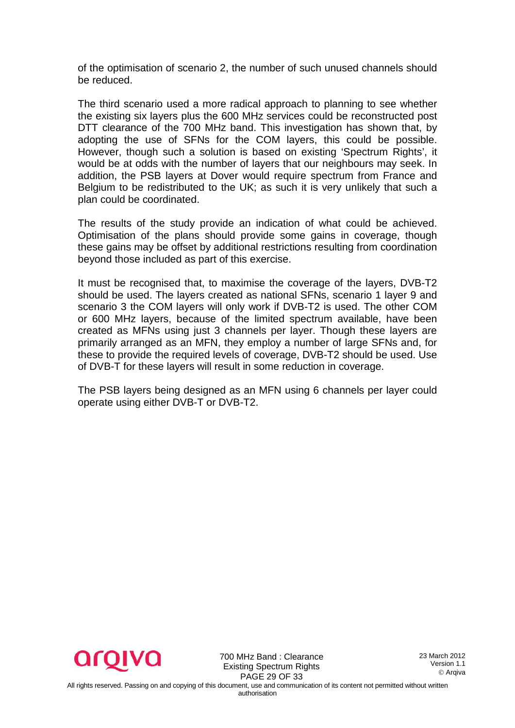of the optimisation of scenario 2, the number of such unused channels should be reduced.

The third scenario used a more radical approach to planning to see whether the existing six layers plus the 600 MHz services could be reconstructed post DTT clearance of the 700 MHz band. This investigation has shown that, by adopting the use of SFNs for the COM layers, this could be possible. However, though such a solution is based on existing 'Spectrum Rights', it would be at odds with the number of layers that our neighbours may seek. In addition, the PSB layers at Dover would require spectrum from France and Belgium to be redistributed to the UK; as such it is very unlikely that such a plan could be coordinated.

The results of the study provide an indication of what could be achieved. Optimisation of the plans should provide some gains in coverage, though these gains may be offset by additional restrictions resulting from coordination beyond those included as part of this exercise.

It must be recognised that, to maximise the coverage of the layers, DVB-T2 should be used. The layers created as national SFNs, scenario 1 layer 9 and scenario 3 the COM layers will only work if DVB-T2 is used. The other COM or 600 MHz layers, because of the limited spectrum available, have been created as MFNs using just 3 channels per layer. Though these layers are primarily arranged as an MFN, they employ a number of large SFNs and, for these to provide the required levels of coverage, DVB-T2 should be used. Use of DVB-T for these layers will result in some reduction in coverage.

The PSB layers being designed as an MFN using 6 channels per layer could operate using either DVB-T or DVB-T2.



700 MHz Band : Clearance Existing Spectrum Rights PAGE 29 OF 33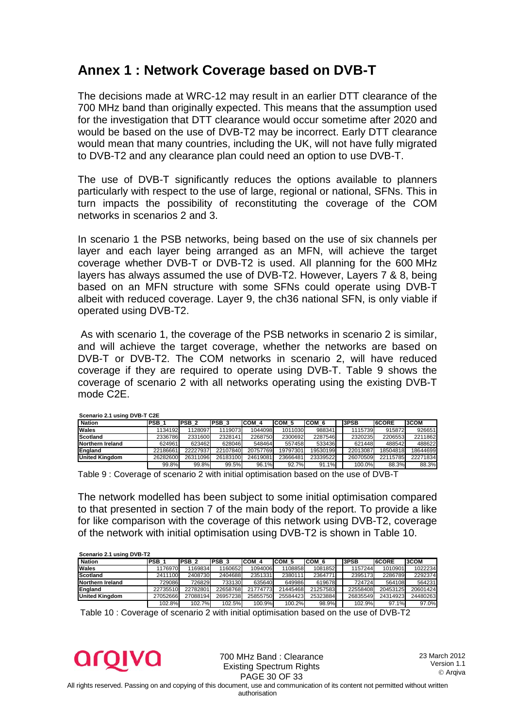## <span id="page-29-0"></span>**Annex 1 : Network Coverage based on DVB-T**

The decisions made at WRC-12 may result in an earlier DTT clearance of the 700 MHz band than originally expected. This means that the assumption used for the investigation that DTT clearance would occur sometime after 2020 and would be based on the use of DVB-T2 may be incorrect. Early DTT clearance would mean that many countries, including the UK, will not have fully migrated to DVB-T2 and any clearance plan could need an option to use DVB-T.

The use of DVB-T significantly reduces the options available to planners particularly with respect to the use of large, regional or national, SFNs. This in turn impacts the possibility of reconstituting the coverage of the COM networks in scenarios 2 and 3.

In scenario 1 the PSB networks, being based on the use of six channels per layer and each layer being arranged as an MFN, will achieve the target coverage whether DVB-T or DVB-T2 is used. All planning for the 600 MHz layers has always assumed the use of DVB-T2. However, Layers 7 & 8, being based on an MFN structure with some SFNs could operate using DVB-T albeit with reduced coverage. Layer 9, the ch36 national SFN, is only viable if operated using DVB-T2.

As with scenario 1, the coverage of the PSB networks in scenario 2 is similar, and will achieve the target coverage, whether the networks are based on DVB-T or DVB-T2. The COM networks in scenario 2, will have reduced coverage if they are required to operate using DVB-T. Table 9 shows the coverage of scenario 2 with all networks operating using the existing DVB-T mode C2E.

| <b>SCENGITO 2.1 USING DVD-1 CZL</b> |              |                  |          |          |          |          |  |          |          |          |  |
|-------------------------------------|--------------|------------------|----------|----------|----------|----------|--|----------|----------|----------|--|
| <b>Nation</b>                       | <b>PSB 1</b> | PSB <sub>2</sub> | IPSB 3   | COM 4    | ICOM 5   | ICOM 6   |  | 3PSB     | 6CORE    | 3COM     |  |
| Wales                               | 1134192      | 1128097          | 1119073  | 1044098  | 1011030  | 988341   |  | 1115739  | 915872   | 926651   |  |
| Scotland                            | 2336786      | 2331600          | 2328141  | 2268750  | 2300692  | 2287546  |  | 2320235  | 2206553  | 2211862  |  |
| Northern Ireland                    | 624961       | 623462           | 628046   | 548464   | 557458   | 533436   |  | 621448   | 488542   | 488622   |  |
| England                             | 22186661     | 22227937         | 22107840 | 20757769 | 19797301 | 19530199 |  | 22013087 | 18504818 | 18644699 |  |
| <b>United Kingdom</b>               | 26282600     | 26311096         | 26183100 | 24619081 | 23666481 | 23339522 |  | 26070509 | 22115785 | 22271834 |  |
|                                     | 99.8%        | 99.8%            | 99.5%    | 96.1%    | 92.7%    | 91.1%    |  | 100.0%   | 88.3%    | 88.3%    |  |

**Scenario 2.1 using DVB-T C2E**

Table 9 : Coverage of scenario 2 with initial optimisation based on the use of DVB-T

The network modelled has been subject to some initial optimisation compared to that presented in section 7 of the main body of the report. To provide a like for like comparison with the coverage of this network using DVB-T2, coverage of the network with initial optimisation using DVB-T2 is shown in Table 10.

| Scenario 2.1 using DVB-T2 |                  |                  |             |          |          |          |  |          |               |             |  |  |
|---------------------------|------------------|------------------|-------------|----------|----------|----------|--|----------|---------------|-------------|--|--|
| <b>Nation</b>             | PSB <sub>1</sub> | PSB <sub>2</sub> | <b>PSB3</b> | COM 4    | ICOM 5   | COM 6    |  | 3PSB     | <b>I6CORE</b> | <b>3COM</b> |  |  |
| Wales                     | 1176970          | 1169834          | 1160652     | 1094006  | 1108858  | 1081852  |  | 1157244  | 1010901       | 1022234     |  |  |
| Scotland                  | 2411100          | 2408730          | 2404688     | 2351331  | 2380111  | 2364771  |  | 2395173  | 2286789       | 2292374     |  |  |
| Northern Ireland          | 729086           | 726829           | 733130      | 635640   | 649986   | 619678   |  | 724724   | 564108        | 564231      |  |  |
| England                   | 22735510         | 22782801         | 22658768    | 21774773 | 21445468 | 21257583 |  | 22558408 | 20453125      | 20601424    |  |  |
| <b>United Kingdom</b>     | 27052666         | 27088194         | 26957238    | 25855750 | 25584423 | 25323884 |  | 26835549 | 24314923      | 24480263    |  |  |
|                           | 102.8%           | 102.7%           | 102.5%      | 100.9%   | 100.2%   | 98.9%    |  | 102.9%   | 97.1%         | 97.0%       |  |  |

Table 10 : Coverage of scenario 2 with initial optimisation based on the use of DVB-T2

**aroiva** 

700 MHz Band : Clearance Existing Spectrum Rights PAGE 30 OF 33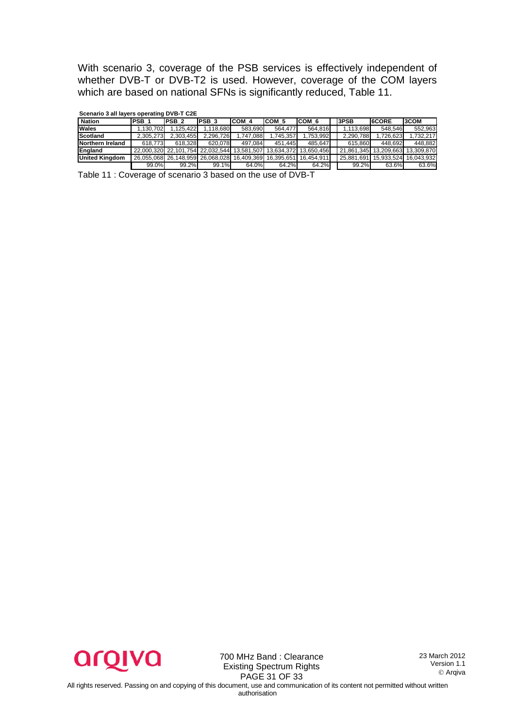With scenario 3, coverage of the PSB services is effectively independent of whether DVB-T or DVB-T2 is used. However, coverage of the COM layers which are based on national SFNs is significantly reduced, Table 11.

|                       | Occiliations all layers operating DVD-T OLL |                                                                   |                   |           |          |                       |  |            |                                  |                       |  |  |  |
|-----------------------|---------------------------------------------|-------------------------------------------------------------------|-------------------|-----------|----------|-----------------------|--|------------|----------------------------------|-----------------------|--|--|--|
| <b>Nation</b>         | PSB <sub>1</sub>                            | <b>PSB 2</b>                                                      | IPSB <sub>3</sub> | ICOM 4    | ICOM 5   | COM 6                 |  | 3PSB       | 6CORE                            | 3COM                  |  |  |  |
| <b>Wales</b>          | 1.130.702                                   | 1.125.422                                                         | .118.680          | 583.690   | 564.477  | 564.816               |  | 1.113.698  | 548.546                          | 552.963               |  |  |  |
| Scotland              | 2.305.273                                   | 2.303.455                                                         | 2.296.726         | 1.747.088 | .745.357 | 1.753.992             |  | 2.290.788  | 1.726.623                        | 1.732.217             |  |  |  |
| Northern Ireland      | 618.773                                     | 618.328                                                           | 620.078           | 497.084   | 451.445  | 485.647               |  | 615.860    | 448.692                          | 448.882               |  |  |  |
| England               |                                             | 22.000.320 22.101.754 22.032.544 13.581.507 13.634.372 13.650.456 |                   |           |          |                       |  |            | 21.861.345 13.209.663 13.309.870 |                       |  |  |  |
| <b>United Kingdom</b> |                                             | 26.055.068 26.148.959 26.068.028 16.409.369                       |                   |           |          | 16.395.651 16.454.911 |  | 25.881.691 |                                  | 15.933.524 16.043.932 |  |  |  |
|                       | 99.0%                                       | 99.2%                                                             | 99.1%             | 64.0%     | 64.2%    | 64.2%                 |  | 99.2%      | 63.6%                            | 63.6%                 |  |  |  |

**Scenario 3 all layers operating DVB-T C2E**

Table 11 : Coverage of scenario 3 based on the use of DVB-T



700 MHz Band : Clearance Existing Spectrum Rights PAGE 31 OF 33

23 March 2012 Version 1.1 Arqiva

All rights reserved. Passing on and copying of this document, use and communication of its content not permitted without written authorisation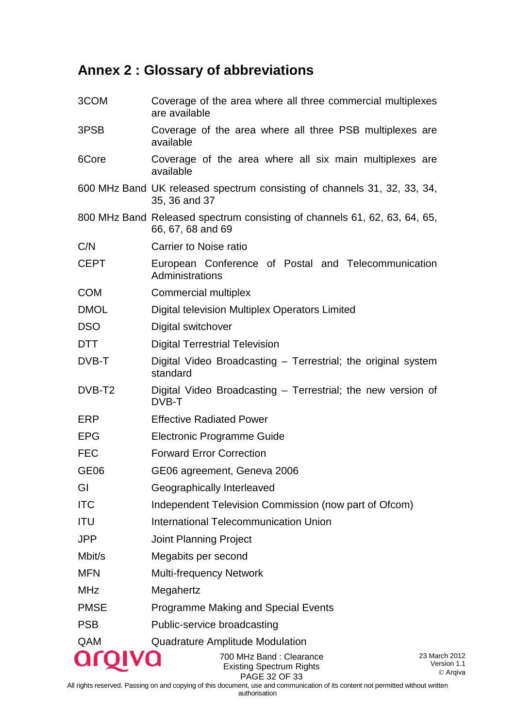# <span id="page-31-0"></span>**Annex 2 : Glossary of abbreviations**

| 3COM             | Coverage of the area where all three commercial multiplexes<br>are available                   |                                          |  |
|------------------|------------------------------------------------------------------------------------------------|------------------------------------------|--|
| 3PSB             | Coverage of the area where all three PSB multiplexes are<br>available                          |                                          |  |
| 6Core            | Coverage of the area where all six main multiplexes are<br>available                           |                                          |  |
|                  | 600 MHz Band UK released spectrum consisting of channels 31, 32, 33, 34,<br>35, 36 and 37      |                                          |  |
|                  | 800 MHz Band Released spectrum consisting of channels 61, 62, 63, 64, 65,<br>66, 67, 68 and 69 |                                          |  |
| C/N              | <b>Carrier to Noise ratio</b>                                                                  |                                          |  |
| <b>CEPT</b>      | European Conference of Postal and Telecommunication<br>Administrations                         |                                          |  |
| <b>COM</b>       | Commercial multiplex                                                                           |                                          |  |
| <b>DMOL</b>      | Digital television Multiplex Operators Limited                                                 |                                          |  |
| <b>DSO</b>       | Digital switchover                                                                             |                                          |  |
| <b>DTT</b>       | <b>Digital Terrestrial Television</b>                                                          |                                          |  |
| DVB-T            | Digital Video Broadcasting - Terrestrial; the original system<br>standard                      |                                          |  |
| DVB-T2           | Digital Video Broadcasting – Terrestrial; the new version of<br>DVB-T                          |                                          |  |
| ERP              | <b>Effective Radiated Power</b>                                                                |                                          |  |
| <b>EPG</b>       | Electronic Programme Guide                                                                     |                                          |  |
| <b>FEC</b>       | <b>Forward Error Correction</b>                                                                |                                          |  |
| GE <sub>06</sub> | GE06 agreement, Geneva 2006                                                                    |                                          |  |
| GI               | Geographically Interleaved                                                                     |                                          |  |
| <b>ITC</b>       | Independent Television Commission (now part of Ofcom)                                          |                                          |  |
| ITU              | <b>International Telecommunication Union</b>                                                   |                                          |  |
| JPP              | <b>Joint Planning Project</b>                                                                  |                                          |  |
| Mbit/s           | Megabits per second                                                                            |                                          |  |
| <b>MFN</b>       | <b>Multi-frequency Network</b>                                                                 |                                          |  |
| <b>MHz</b>       | Megahertz                                                                                      |                                          |  |
| <b>PMSE</b>      | <b>Programme Making and Special Events</b>                                                     |                                          |  |
| <b>PSB</b>       | Public-service broadcasting                                                                    |                                          |  |
| QAM              | <b>Quadrature Amplitude Modulation</b>                                                         |                                          |  |
|                  | 700 MHz Band: Clearance<br><b>Existing Spectrum Rights</b>                                     | 23 March 2012<br>Version 1.1<br>© Arqiva |  |